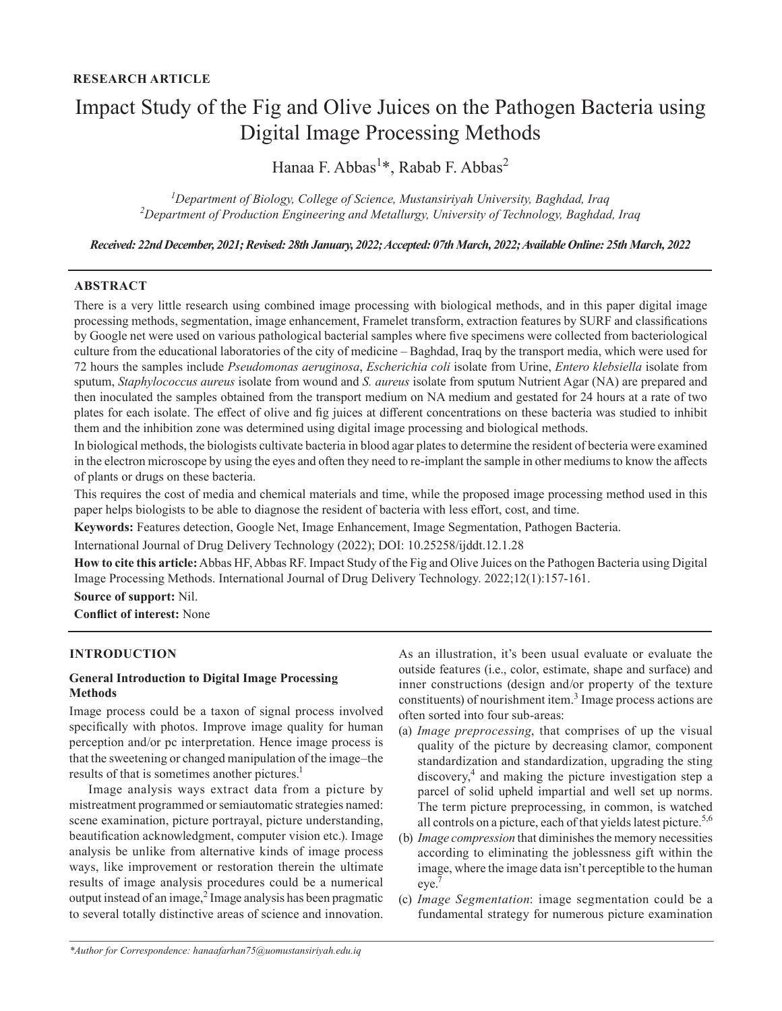# Impact Study of the Fig and Olive Juices on the Pathogen Bacteria using Digital Image Processing Methods

Hanaa F. Abbas<sup>1</sup>\*, Rabab F. Abbas<sup>2</sup>

*1 Department of Biology, College of Science, Mustansiriyah University, Baghdad, Iraq 2 Department of Production Engineering and Metallurgy, University of Technology, Baghdad, Iraq*

*Received: 22nd December, 2021; Revised: 28th January, 2022; Accepted: 07th March, 2022; Available Online: 25th March, 2022*

### **ABSTRACT**

There is a very little research using combined image processing with biological methods, and in this paper digital image processing methods, segmentation, image enhancement, Framelet transform, extraction features by SURF and classifications by Google net were used on various pathological bacterial samples where five specimens were collected from bacteriological culture from the educational laboratories of the city of medicine – Baghdad, Iraq by the transport media, which were used for 72 hours the samples include *Pseudomonas aeruginosa*, *Escherichia coli* isolate from Urine, *Entero klebsiella* isolate from sputum, *Staphylococcus aureus* isolate from wound and *S. aureus* isolate from sputum Nutrient Agar (NA) are prepared and then inoculated the samples obtained from the transport medium on NA medium and gestated for 24 hours at a rate of two plates for each isolate. The effect of olive and fig juices at different concentrations on these bacteria was studied to inhibit them and the inhibition zone was determined using digital image processing and biological methods.

In biological methods, the biologists cultivate bacteria in blood agar plates to determine the resident of becteria were examined in the electron microscope by using the eyes and often they need to re-implant the sample in other mediums to know the affects of plants or drugs on these bacteria.

This requires the cost of media and chemical materials and time, while the proposed image processing method used in this paper helps biologists to be able to diagnose the resident of bacteria with less effort, cost, and time.

**Keywords:** Features detection, Google Net, Image Enhancement, Image Segmentation, Pathogen Bacteria.

International Journal of Drug Delivery Technology (2022); DOI: 10.25258/ijddt.12.1.28

**How to cite this article:** Abbas HF, Abbas RF. Impact Study of the Fig and Olive Juices on the Pathogen Bacteria using Digital Image Processing Methods. International Journal of Drug Delivery Technology. 2022;12(1):157-161.

**Source of support:** Nil.

**Conflict of interest:** None

## **INTRODUCTION**

### **General Introduction to Digital Image Processing Methods**

Image process could be a taxon of signal process involved specifically with photos. Improve image quality for human perception and/or pc interpretation. Hence image process is that the sweetening or changed manipulation of the image–the results of that is sometimes another pictures.<sup>1</sup>

Image analysis ways extract data from a picture by mistreatment programmed or semiautomatic strategies named: scene examination, picture portrayal, picture understanding, beautification acknowledgment, computer vision etc.). Image analysis be unlike from alternative kinds of image process ways, like improvement or restoration therein the ultimate results of image analysis procedures could be a numerical output instead of an image,<sup>2</sup> Image analysis has been pragmatic to several totally distinctive areas of science and innovation.

As an illustration, it's been usual evaluate or evaluate the outside features (i.e., color, estimate, shape and surface) and inner constructions (design and/or property of the texture constituents) of nourishment item. $3$  Image process actions are often sorted into four sub-areas:

- (a) *Image preprocessing*, that comprises of up the visual quality of the picture by decreasing clamor, component standardization and standardization, upgrading the sting discovery,4 and making the picture investigation step a parcel of solid upheld impartial and well set up norms. The term picture preprocessing, in common, is watched all controls on a picture, each of that yields latest picture.<sup>5,6</sup>
- (b) *Image compression* that diminishes the memory necessities according to eliminating the joblessness gift within the image, where the image data isn't perceptible to the human eye.7
- (c) *Image Segmentation*: image segmentation could be a fundamental strategy for numerous picture examination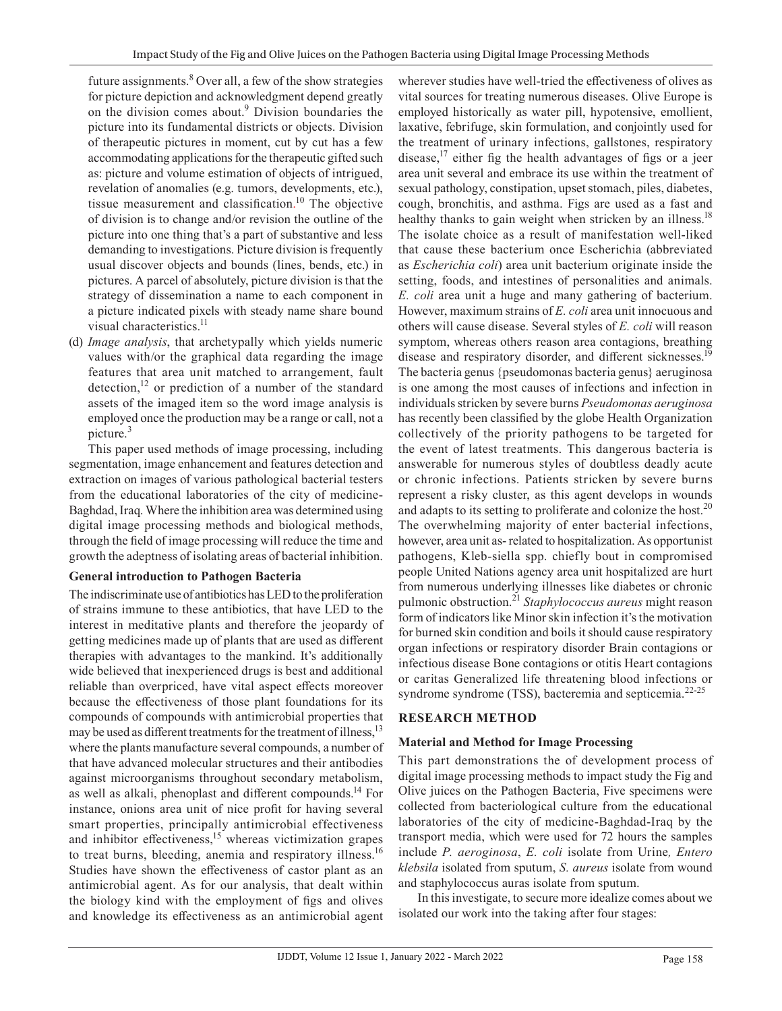future assignments.<sup>8</sup> Over all, a few of the show strategies for picture depiction and acknowledgment depend greatly on the division comes about.<sup>9</sup> Division boundaries the picture into its fundamental districts or objects. Division of therapeutic pictures in moment, cut by cut has a few accommodating applications for the therapeutic gifted such as: picture and volume estimation of objects of intrigued, revelation of anomalies (e.g. tumors, developments, etc.), tissue measurement and classification. <sup>10</sup> The objective of division is to change and/or revision the outline of the picture into one thing that's a part of substantive and less demanding to investigations. Picture division is frequently usual discover objects and bounds (lines, bends, etc.) in pictures. A parcel of absolutely, picture division is that the strategy of dissemination a name to each component in a picture indicated pixels with steady name share bound visual characteristics.<sup>11</sup>

(d) *Image analysis*, that archetypally which yields numeric values with/or the graphical data regarding the image features that area unit matched to arrangement, fault detection,<sup>12</sup> or prediction of a number of the standard assets of the imaged item so the word image analysis is employed once the production may be a range or call, not a picture.<sup>3</sup>

This paper used methods of image processing, including segmentation, image enhancement and features detection and extraction on images of various pathological bacterial testers from the educational laboratories of the city of medicine-Baghdad, Iraq. Where the inhibition area was determined using digital image processing methods and biological methods, through the field of image processing will reduce the time and growth the adeptness of isolating areas of bacterial inhibition.

## **General introduction to Pathogen Bacteria**

The indiscriminate use of antibiotics has LED to the proliferation of strains immune to these antibiotics, that have LED to the interest in meditative plants and therefore the jeopardy of getting medicines made up of plants that are used as different therapies with advantages to the mankind. It's additionally wide believed that inexperienced drugs is best and additional reliable than overpriced, have vital aspect effects moreover because the effectiveness of those plant foundations for its compounds of compounds with antimicrobial properties that may be used as different treatments for the treatment of illness,<sup>13</sup> where the plants manufacture several compounds, a number of that have advanced molecular structures and their antibodies against microorganisms throughout secondary metabolism, as well as alkali, phenoplast and different compounds.14 For instance, onions area unit of nice profit for having several smart properties, principally antimicrobial effectiveness and inhibitor effectiveness,<sup>15</sup> whereas victimization grapes to treat burns, bleeding, anemia and respiratory illness.<sup>16</sup> Studies have shown the effectiveness of castor plant as an antimicrobial agent. As for our analysis, that dealt within the biology kind with the employment of figs and olives and knowledge its effectiveness as an antimicrobial agent

wherever studies have well-tried the effectiveness of olives as vital sources for treating numerous diseases. Olive Europe is employed historically as water pill, hypotensive, emollient, laxative, febrifuge, skin formulation, and conjointly used for the treatment of urinary infections, gallstones, respiratory disease,<sup>17</sup> either fig the health advantages of figs or a jeer area unit several and embrace its use within the treatment of sexual pathology, constipation, upset stomach, piles, diabetes, cough, bronchitis, and asthma. Figs are used as a fast and healthy thanks to gain weight when stricken by an illness.<sup>18</sup> The isolate choice as a result of manifestation well-liked that cause these bacterium once Escherichia (abbreviated as *Escherichia coli*) area unit bacterium originate inside the setting, foods, and intestines of personalities and animals. *E. coli* area unit a huge and many gathering of bacterium. However, maximum strains of *E. coli* area unit innocuous and others will cause disease. Several styles of *E. coli* will reason symptom, whereas others reason area contagions, breathing disease and respiratory disorder, and different sicknesses.<sup>19</sup> The bacteria genus {pseudomonas bacteria genus} aeruginosa is one among the most causes of infections and infection in individuals stricken by severe burns *Pseudomonas aeruginosa* has recently been classified by the globe Health Organization collectively of the priority pathogens to be targeted for the event of latest treatments. This dangerous bacteria is answerable for numerous styles of doubtless deadly acute or chronic infections. Patients stricken by severe burns represent a risky cluster, as this agent develops in wounds and adapts to its setting to proliferate and colonize the host.<sup>20</sup> The overwhelming majority of enter bacterial infections, however, area unit as- related to hospitalization. As opportunist pathogens, Kleb-siella spp. chiefly bout in compromised people United Nations agency area unit hospitalized are hurt from numerous underlying illnesses like diabetes or chronic pulmonic obstruction.<sup>21</sup> *Staphylococcus aureus* might reason form of indicators like Minor skin infection it's the motivation for burned skin condition and boils it should cause respiratory organ infections or respiratory disorder Brain contagions or infectious disease Bone contagions or otitis Heart contagions or caritas Generalized life threatening blood infections or syndrome syndrome (TSS), bacteremia and septicemia.<sup>22-25</sup>

## **RESEARCH METHOD**

## **Material and Method for Image Processing**

This part demonstrations the of development process of digital image processing methods to impact study the Fig and Olive juices on the Pathogen Bacteria, Five specimens were collected from bacteriological culture from the educational laboratories of the city of medicine-Baghdad-Iraq by the transport media, which were used for 72 hours the samples include *P. aeroginosa*, *E. coli* isolate from Urine*, Entero klebsila* isolated from sputum, *S. aureus* isolate from wound and staphylococcus auras isolate from sputum.

In this investigate, to secure more idealize comes about we isolated our work into the taking after four stages: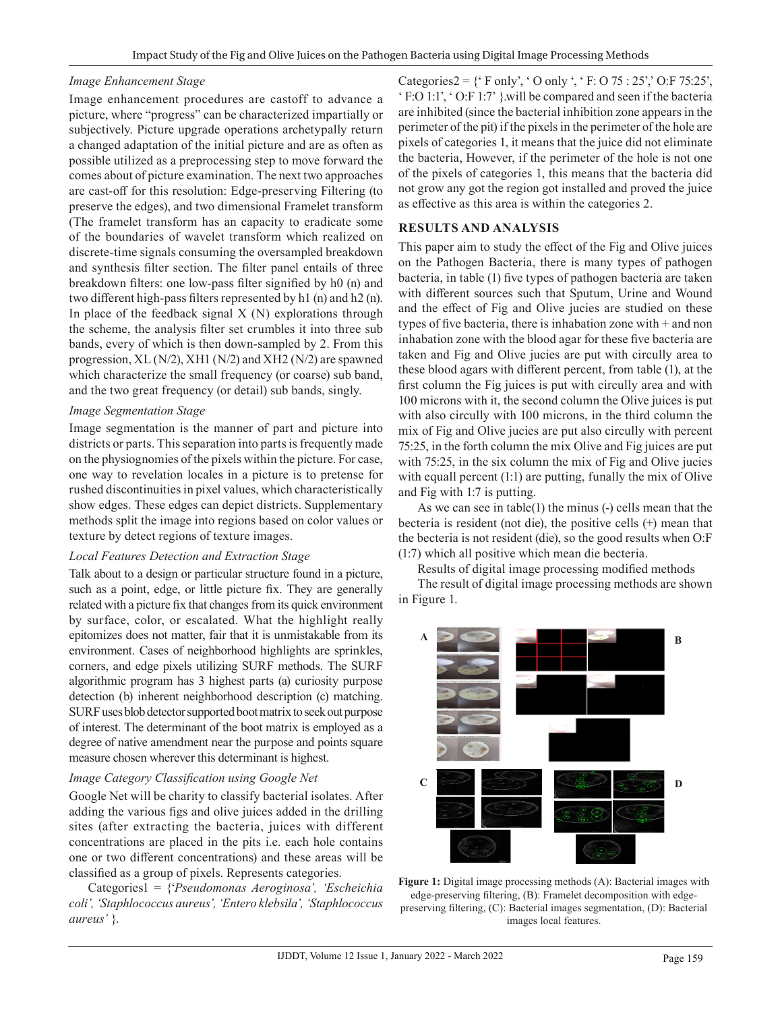### *Image Enhancement Stage*

Image enhancement procedures are castoff to advance a picture, where "progress" can be characterized impartially or subjectively. Picture upgrade operations archetypally return a changed adaptation of the initial picture and are as often as possible utilized as a preprocessing step to move forward the comes about of picture examination. The next two approaches are cast-off for this resolution: Edge-preserving Filtering (to preserve the edges), and two dimensional Framelet transform (The framelet transform has an capacity to eradicate some of the boundaries of wavelet transform which realized on discrete-time signals consuming the oversampled breakdown and synthesis filter section. The filter panel entails of three breakdown filters: one low-pass filter signified by h0 (n) and two different high-pass filters represented by h1 (n) and h2 (n). In place of the feedback signal  $X(N)$  explorations through the scheme, the analysis filter set crumbles it into three sub bands, every of which is then down-sampled by 2. From this progression, XL (N/2), XH1 (N/2) and XH2 (N/2) are spawned which characterize the small frequency (or coarse) sub band, and the two great frequency (or detail) sub bands, singly.

## *Image Segmentation Stage*

Image segmentation is the manner of part and picture into districts or parts. This separation into parts is frequently made on the physiognomies of the pixels within the picture. For case, one way to revelation locales in a picture is to pretense for rushed discontinuities in pixel values, which characteristically show edges. These edges can depict districts. Supplementary methods split the image into regions based on color values or texture by detect regions of texture images.

## *Local Features Detection and Extraction Stage*

Talk about to a design or particular structure found in a picture, such as a point, edge, or little picture fix. They are generally related with a picture fix that changes from its quick environment by surface, color, or escalated. What the highlight really epitomizes does not matter, fair that it is unmistakable from its environment. Cases of neighborhood highlights are sprinkles, corners, and edge pixels utilizing SURF methods. The SURF algorithmic program has 3 highest parts (a) curiosity purpose detection (b) inherent neighborhood description (c) matching. SURF uses blob detector supported boot matrix to seek out purpose of interest. The determinant of the boot matrix is employed as a degree of native amendment near the purpose and points square measure chosen wherever this determinant is highest.

## *Image Category Classification using Google Net*

Google Net will be charity to classify bacterial isolates. After adding the various figs and olive juices added in the drilling sites (after extracting the bacteria, juices with different concentrations are placed in the pits i.e. each hole contains one or two different concentrations) and these areas will be classified as a group of pixels. Represents categories.

Categories1 = {'*Pseudomonas Aeroginosa', 'Escheichia coli', 'Staphlococcus aureus', 'Entero klebsila', 'Staphlococcus aureus'* }.

Categories2 =  $\{ '$  F only', ' O only ', ' F: O 75 : 25', ' O: F 75:25', ' F:O 1:1', ' O:F 1:7' }.will be compared and seen if the bacteria are inhibited (since the bacterial inhibition zone appears in the perimeter of the pit) if the pixels in the perimeter of the hole are pixels of categories 1, it means that the juice did not eliminate the bacteria, However, if the perimeter of the hole is not one of the pixels of categories 1, this means that the bacteria did not grow any got the region got installed and proved the juice as effective as this area is within the categories 2.

## **RESULTS AND ANALYSIS**

This paper aim to study the effect of the Fig and Olive juices on the Pathogen Bacteria, there is many types of pathogen bacteria, in table (1) five types of pathogen bacteria are taken with different sources such that Sputum, Urine and Wound and the effect of Fig and Olive jucies are studied on these types of five bacteria, there is inhabation zone with + and non inhabation zone with the blood agar for these five bacteria are taken and Fig and Olive jucies are put with circully area to these blood agars with different percent, from table (1), at the first column the Fig juices is put with circully area and with 100 microns with it, the second column the Olive juices is put with also circully with 100 microns, in the third column the mix of Fig and Olive jucies are put also circully with percent 75:25, in the forth column the mix Olive and Fig juices are put with 75:25, in the six column the mix of Fig and Olive jucies with equall percent (1:1) are putting, funally the mix of Olive and Fig with 1:7 is putting.

As we can see in table(1) the minus (-) cells mean that the becteria is resident (not die), the positive cells (+) mean that the becteria is not resident (die), so the good results when O:F (1:7) which all positive which mean die becteria.

Results of digital image processing modified methods The result of digital image processing methods are shown in Figure 1.



**Figure 1:** Digital image processing methods (A): Bacterial images with edge-preserving filtering, (B): Framelet decomposition with edgepreserving filtering, (C): Bacterial images segmentation, (D): Bacterial images local features.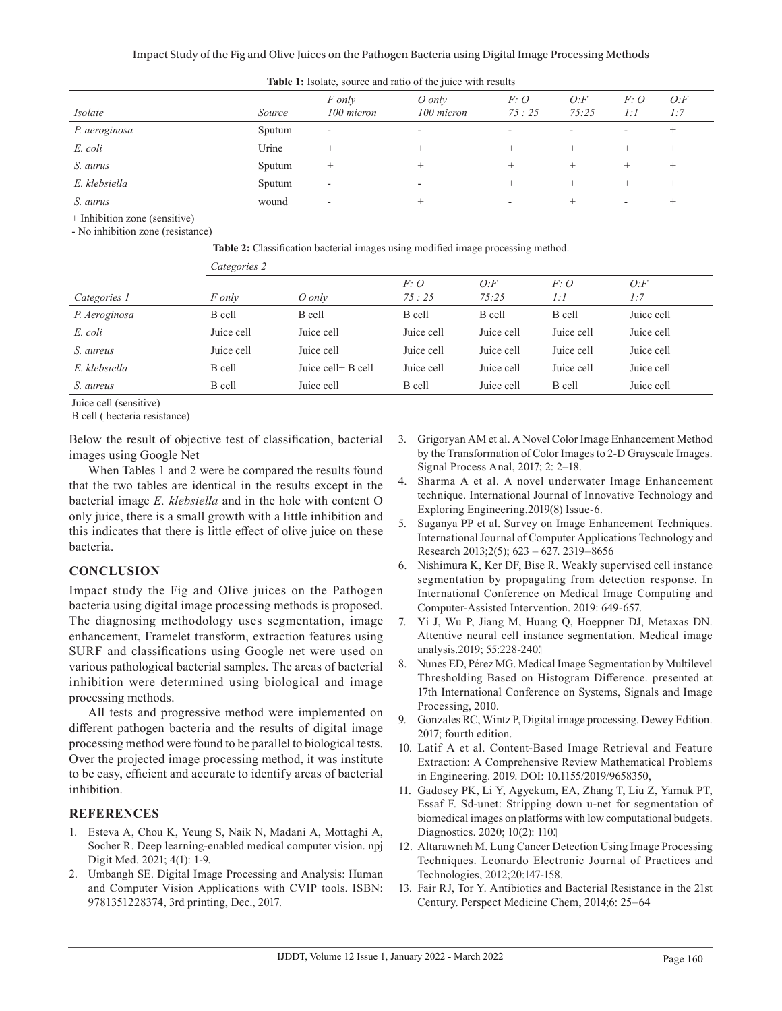| <b>Table 1:</b> Isolate, source and ratio of the juice with results |        |                          |                          |              |               |                                  |               |  |  |  |  |
|---------------------------------------------------------------------|--------|--------------------------|--------------------------|--------------|---------------|----------------------------------|---------------|--|--|--|--|
| Isolate                                                             | Source | F only<br>100 micron     | O only<br>100 micron     | F:O<br>75:25 | O: F<br>75:25 | F: O<br>1:1                      | $O$ :F<br>1:7 |  |  |  |  |
| P. aeroginosa                                                       | Sputum | -                        | $\overline{\phantom{0}}$ |              |               | $\overline{\phantom{a}}$         |               |  |  |  |  |
| E. coli                                                             | Urine  | ┿                        | $^+$                     |              |               | +                                | $^+$          |  |  |  |  |
| S. aurus                                                            | Sputum | +                        | $^+$                     |              | $^+$          | +                                | $^+$          |  |  |  |  |
| E. klebsiella                                                       | Sputum | $\overline{\phantom{a}}$ | ۰                        |              | $^+$          | $\hspace{0.1mm} +\hspace{0.1mm}$ | $^+$          |  |  |  |  |
| S. aurus                                                            | wound  |                          | +                        |              |               | -                                |               |  |  |  |  |

+ Inhibition zone (sensitive)

- No inhibition zone (resistance)

|               | <b>Table 2:</b> Classification bacterial images using modified image processing method. |                    |              |              |            |               |  |  |  |  |
|---------------|-----------------------------------------------------------------------------------------|--------------------|--------------|--------------|------------|---------------|--|--|--|--|
|               | Categories 2                                                                            |                    |              |              |            |               |  |  |  |  |
| Categories 1  | F only                                                                                  | O only             | F:O<br>75:25 | O:F<br>75:25 | F:O<br>1:1 | $O$ :F<br>1:7 |  |  |  |  |
| P. Aeroginosa | B cell                                                                                  | B cell             | B cell       | B cell       | B cell     | Juice cell    |  |  |  |  |
| E. coli       | Juice cell                                                                              | Juice cell         | Juice cell   | Juice cell   | Juice cell | Juice cell    |  |  |  |  |
| S. aureus     | Juice cell                                                                              | Juice cell         | Juice cell   | Juice cell   | Juice cell | Juice cell    |  |  |  |  |
| E. klebsiella | B cell                                                                                  | Juice cell+ B cell | Juice cell   | Juice cell   | Juice cell | Juice cell    |  |  |  |  |
| S. aureus     | B cell                                                                                  | Juice cell         | B cell       | Juice cell   | B cell     | Juice cell    |  |  |  |  |

Juice cell (sensitive)

B cell ( becteria resistance)

Below the result of objective test of classification, bacterial images using Google Net

When Tables 1 and 2 were be compared the results found that the two tables are identical in the results except in the bacterial image *E. klebsiella* and in the hole with content O only juice, there is a small growth with a little inhibition and this indicates that there is little effect of olive juice on these bacteria.

#### **CONCLUSION**

Impact study the Fig and Olive juices on the Pathogen bacteria using digital image processing methods is proposed. The diagnosing methodology uses segmentation, image enhancement, Framelet transform, extraction features using SURF and classifications using Google net were used on various pathological bacterial samples. The areas of bacterial inhibition were determined using biological and image processing methods.

All tests and progressive method were implemented on different pathogen bacteria and the results of digital image processing method were found to be parallel to biological tests. Over the projected image processing method, it was institute to be easy, efficient and accurate to identify areas of bacterial inhibition.

## **REFERENCES**

- 1. Esteva A, Chou K, Yeung S, Naik N, Madani A, Mottaghi A, Socher R. Deep learning-enabled medical computer vision. npj Digit Med. 2021; 4(1): 1-9.
- 2. Umbangh SE. Digital Image Processing and Analysis: Human and Computer Vision Applications with CVIP tools. ISBN: 9781351228374, 3rd printing, Dec., 2017.
- 3. Grigoryan AM [et al.](file:///D:/Journal%2001-02-2020/Yasvant/IJDDT/IJDDT%20Vol%2012%20Issue%201/Hanaa%20F.%20Abbas%20-%20IJDDT%20April%2045%20AA%20v1/javascript:void(0)) A Novel Color Image Enhancement Method by the Transformation of Color Images to 2-D Grayscale Images. Signal Process Anal, 2017; 2: 2–18.
- 4. [Sharma](http://libhub.sempertool.dk.tiger.sempertool.dk/libhub?func=search&query=au:%22Shuo%20Huang%22&language=en) A [et al.](file:///D:/Journal%2001-02-2020/Yasvant/IJDDT/IJDDT%20Vol%2012%20Issue%201/Hanaa%20F.%20Abbas%20-%20IJDDT%20April%2045%20AA%20v1/javascript:void(0)) A novel underwater Image Enhancement technique. International Journal of Innovative Technology and Exploring Engineering.2019(8) Issue-6.
- 5. Suganya PP [et al.](file:///D:/Journal%2001-02-2020/Yasvant/IJDDT/IJDDT%20Vol%2012%20Issue%201/Hanaa%20F.%20Abbas%20-%20IJDDT%20April%2045%20AA%20v1/javascript:void(0)) Survey on Image Enhancement Techniques. International Journal of Computer Applications Technology and Research 2013;2(5); 623 – 627. 2319–8656
- 6. Nishimura K, Ker DF, Bise R. Weakly supervised cell instance segmentation by propagating from detection response. In International Conference on Medical Image Computing and Computer-Assisted Intervention. 2019: 649-657.
- 7. Yi J, Wu P, Jiang M, Huang Q, Hoeppner DJ, Metaxas DN. Attentive neural cell instance segmentation. Medical image analysis.2019; 55:228-240.
- 8. Nunes ED, Pérez MG. Medical Image Segmentation by Multilevel Thresholding Based on Histogram Difference. presented at 17th International Conference on Systems, Signals and Image Processing, 2010.
- 9. Gonzales RC, Wintz P, Digital image processing. Dewey Edition. 2017; fourth edition.
- 10. Latif A [et al.](file:///D:/Journal%2001-02-2020/Yasvant/IJDDT/IJDDT%20Vol%2012%20Issue%201/Hanaa%20F.%20Abbas%20-%20IJDDT%20April%2045%20AA%20v1/javascript:void(0)) Content-Based Image Retrieval and Feature Extraction: A Comprehensive Review Mathematical Problems in Engineering. 2019. DOI: 10.1155/2019/9658350,
- 11. Gadosey PK, Li Y, Agyekum, EA, Zhang T, Liu Z, Yamak PT, Essaf F. Sd-unet: Stripping down u-net for segmentation of biomedical images on platforms with low computational budgets. Diagnostics. 2020; 10(2): 110.
- 12. Altarawneh M. Lung Cancer Detection Using Image Processing Techniques. Leonardo Electronic Journal of Practices and Technologies, 2012;20:147-158.
- 13. [Fair](https://www.ncbi.nlm.nih.gov/pubmed/?term=Fair%20RJ%5BAuthor%5D&cauthor=true&cauthor_uid=25232278) RJ, [Tor](https://www.ncbi.nlm.nih.gov/pubmed/?term=Tor%20Y%5BAuthor%5D&cauthor=true&cauthor_uid=25232278) Y. Antibiotics and Bacterial Resistance in the 21st Century. [Perspect Medicine Chem](https://www.ncbi.nlm.nih.gov/pmc/articles/PMC4159373/), 2014;6: 25–64